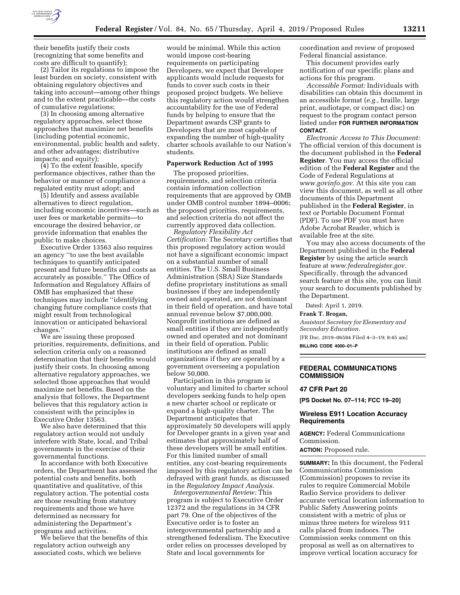

their benefits justify their costs (recognizing that some benefits and costs are difficult to quantify);

(2) Tailor its regulations to impose the least burden on society, consistent with obtaining regulatory objectives and taking into account—among other things and to the extent practicable—the costs of cumulative regulations;

(3) In choosing among alternative regulatory approaches, select those approaches that maximize net benefits (including potential economic, environmental, public health and safety, and other advantages; distributive impacts; and equity);

(4) To the extent feasible, specify performance objectives, rather than the behavior or manner of compliance a regulated entity must adopt; and

(5) Identify and assess available alternatives to direct regulation, including economic incentives—such as user fees or marketable permits—to encourage the desired behavior, or provide information that enables the public to make choices.

Executive Order 13563 also requires an agency ''to use the best available techniques to quantify anticipated present and future benefits and costs as accurately as possible.'' The Office of Information and Regulatory Affairs of OMB has emphasized that these techniques may include ''identifying changing future compliance costs that might result from technological innovation or anticipated behavioral changes.''

We are issuing these proposed priorities, requirements, definitions, and selection criteria only on a reasoned determination that their benefits would justify their costs. In choosing among alternative regulatory approaches, we selected those approaches that would maximize net benefits. Based on the analysis that follows, the Department believes that this regulatory action is consistent with the principles in Executive Order 13563.

We also have determined that this regulatory action would not unduly interfere with State, local, and Tribal governments in the exercise of their governmental functions.

In accordance with both Executive orders, the Department has assessed the potential costs and benefits, both quantitative and qualitative, of this regulatory action. The potential costs are those resulting from statutory requirements and those we have determined as necessary for administering the Department's programs and activities.

We believe that the benefits of this regulatory action outweigh any associated costs, which we believe

would be minimal. While this action would impose cost-bearing requirements on participating Developers, we expect that Developer applicants would include requests for funds to cover such costs in their proposed project budgets. We believe this regulatory action would strengthen accountability for the use of Federal funds by helping to ensure that the Department awards CSP grants to Developers that are most capable of expanding the number of high-quality charter schools available to our Nation's students.

### **Paperwork Reduction Act of 1995**

The proposed priorities, requirements, and selection criteria contain information collection requirements that are approved by OMB under OMB control number 1894–0006; the proposed priorities, requirements, and selection criteria do not affect the currently approved data collection.

*Regulatory Flexibility Act Certification:* The Secretary certifies that this proposed regulatory action would not have a significant economic impact on a substantial number of small entities. The U.S. Small Business Administration (SBA) Size Standards define proprietary institutions as small businesses if they are independently owned and operated, are not dominant in their field of operation, and have total annual revenue below \$7,000,000. Nonprofit institutions are defined as small entities if they are independently owned and operated and not dominant in their field of operation. Public institutions are defined as small organizations if they are operated by a government overseeing a population below 50,000.

Participation in this program is voluntary and limited to charter school developers seeking funds to help open a new charter school or replicate or expand a high-quality charter. The Department anticipates that approximately 50 developers will apply for Developer grants in a given year and estimates that approximately half of these developers will be small entities. For this limited number of small entities, any cost-bearing requirements imposed by this regulatory action can be defrayed with grant funds, as discussed in the *Regulatory Impact Analysis.* 

*Intergovernmental Review:* This program is subject to Executive Order 12372 and the regulations in 34 CFR part 79. One of the objectives of the Executive order is to foster an intergovernmental partnership and a strengthened federalism. The Executive order relies on processes developed by State and local governments for

coordination and review of proposed Federal financial assistance.

This document provides early notification of our specific plans and actions for this program.

*Accessible Format:* Individuals with disabilities can obtain this document in an accessible format (*e.g.,* braille, large print, audiotape, or compact disc) on request to the program contact person listed under **FOR FURTHER INFORMATION CONTACT**.

*Electronic Access to This Document:*  The official version of this document is the document published in the **Federal Register**. You may access the official edition of the **Federal Register** and the Code of Federal Regulations at *[www.govinfo.gov.](http://www.govinfo.gov)* At this site you can view this document, as well as all other documents of this Department published in the **Federal Register**, in text or Portable Document Format (PDF). To use PDF you must have Adobe Acrobat Reader, which is available free at the site.

You may also access documents of the Department published in the **Federal Register** by using the article search feature at *[www.federalregister.gov.](http://www.federalregister.gov)*  Specifically, through the advanced search feature at this site, you can limit your search to documents published by the Department.

Dated: April 1, 2019.

**Frank T. Brogan,** 

*Assistant Secretary for Elementary and Secondary Education.* 

[FR Doc. 2019–06584 Filed 4–3–19; 8:45 am]

**BILLING CODE 4000–01–P** 

### **FEDERAL COMMUNICATIONS COMMISSION**

#### **47 CFR Part 20**

**[PS Docket No. 07–114; FCC 19–20]** 

## **Wireless E911 Location Accuracy Requirements**

**AGENCY:** Federal Communications Commission.

**ACTION:** Proposed rule.

**SUMMARY:** In this document, the Federal Communications Commission (Commission) proposes to revise its rules to require Commercial Mobile Radio Service providers to deliver accurate vertical location information to Public Safety Answering points consistent with a metric of plus or minus three meters for wireless 911 calls placed from indoors. The Commission seeks comment on this proposal as well as on alternatives to improve vertical location accuracy for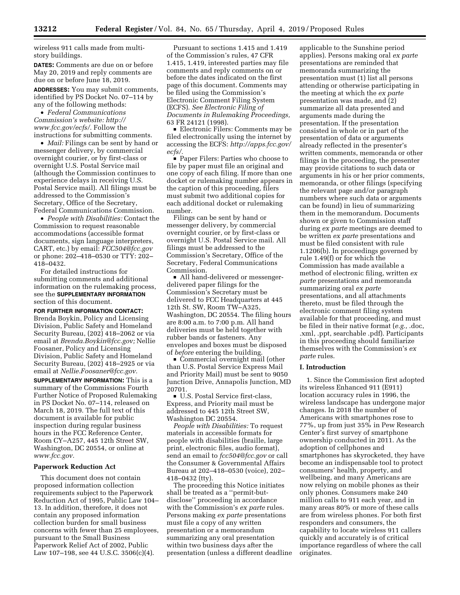wireless 911 calls made from multistory buildings.

**DATES:** Comments are due on or before May 20, 2019 and reply comments are due on or before June 18, 2019.

**ADDRESSES:** You may submit comments, identified by PS Docket No. 07–114 by any of the following methods:

• *Federal Communications Commission's website: [http://](http://www.fcc.gov/ecfs/) [www.fcc.gov/ecfs/.](http://www.fcc.gov/ecfs/)* Follow the instructions for submitting comments.

• *Mail:* Filings can be sent by hand or messenger delivery, by commercial overnight courier, or by first-class or overnight U.S. Postal Service mail (although the Commission continues to experience delays in receiving U.S. Postal Service mail). All filings must be addressed to the Commission's Secretary, Office of the Secretary, Federal Communications Commission.

• *People with Disabilities:* Contact the Commission to request reasonable accommodations (accessible format documents, sign language interpreters, CART, etc.) by email: *[FCC504@fcc.gov](mailto:FCC504@fcc.gov)*  or phone: 202–418–0530 or TTY: 202– 418–0432.

For detailed instructions for submitting comments and additional information on the rulemaking process, see the **SUPPLEMENTARY INFORMATION** section of this document.

**FOR FURTHER INFORMATION CONTACT:**  Brenda Boykin, Policy and Licensing Division, Public Safety and Homeland Security Bureau, (202) 418–2062 or via email at *[Brenda.Boykin@fcc.gov;](mailto:Brenda.Boykin@fcc.gov)* Nellie Foosaner, Policy and Licensing Division, Public Safety and Homeland Security Bureau, (202) 418–2925 or via email at *[Nellie.Foosaner@fcc.gov.](mailto:Nellie.Foosaner@fcc.gov)* 

**SUPPLEMENTARY INFORMATION:** This is a summary of the Commissions Fourth Further Notice of Proposed Rulemaking in PS Docket No. 07–114, released on March 18, 2019. The full text of this document is available for public inspection during regular business hours in the FCC Reference Center, Room CY–A257, 445 12th Street SW, Washington, DC 20554, or online at *[www.fcc.gov.](http://www.fcc.gov)* 

### **Paperwork Reduction Act**

This document does not contain proposed information collection requirements subject to the Paperwork Reduction Act of 1995, Public Law 104– 13. In addition, therefore, it does not contain any proposed information collection burden for small business concerns with fewer than 25 employees, pursuant to the Small Business Paperwork Relief Act of 2002, Public Law 107–198, see 44 U.S.C. 3506(c)(4).

Pursuant to sections 1.415 and 1.419 of the Commission's rules, 47 CFR 1.415, 1.419, interested parties may file comments and reply comments on or before the dates indicated on the first page of this document. Comments may be filed using the Commission's Electronic Comment Filing System (ECFS). *See Electronic Filing of Documents in Rulemaking Proceedings,*  63 FR 24121 (1998).

■ Electronic Filers: Comments may be filed electronically using the internet by accessing the ECFS: *[http://apps.fcc.gov/](http://apps.fcc.gov/ecfs/)  [ecfs/.](http://apps.fcc.gov/ecfs/)* 

Paper Filers: Parties who choose to file by paper must file an original and one copy of each filing. If more than one docket or rulemaking number appears in the caption of this proceeding, filers must submit two additional copies for each additional docket or rulemaking number.

Filings can be sent by hand or messenger delivery, by commercial overnight courier, or by first-class or overnight U.S. Postal Service mail. All filings must be addressed to the Commission's Secretary, Office of the Secretary, Federal Communications Commission.

• All hand-delivered or messengerdelivered paper filings for the Commission's Secretary must be delivered to FCC Headquarters at 445 12th St. SW, Room TW–A325, Washington, DC 20554. The filing hours are 8:00 a.m. to 7:00 p.m. All hand deliveries must be held together with rubber bands or fasteners. Any envelopes and boxes must be disposed of *before* entering the building.

 $\blacksquare$  Commercial overnight mail (other than U.S. Postal Service Express Mail and Priority Mail) must be sent to 9050 Junction Drive, Annapolis Junction, MD 20701.

■ U.S. Postal Service first-class, Express, and Priority mail must be addressed to 445 12th Street SW, Washington DC 20554.

*People with Disabilities:* To request materials in accessible formats for people with disabilities (braille, large print, electronic files, audio format), send an email to *[fcc504@fcc.gov](mailto:fcc504@fcc.gov)* or call the Consumer & Governmental Affairs Bureau at 202–418–0530 (voice), 202– 418–0432 (tty).

The proceeding this Notice initiates shall be treated as a ''permit-butdisclose'' proceeding in accordance with the Commission's *ex parte* rules. Persons making *ex parte* presentations must file a copy of any written presentation or a memorandum summarizing any oral presentation within two business days after the presentation (unless a different deadline

applicable to the Sunshine period applies). Persons making oral *ex parte*  presentations are reminded that memoranda summarizing the presentation must (1) list all persons attending or otherwise participating in the meeting at which the *ex parte*  presentation was made, and (2) summarize all data presented and arguments made during the presentation. If the presentation consisted in whole or in part of the presentation of data or arguments already reflected in the presenter's written comments, memoranda or other filings in the proceeding, the presenter may provide citations to such data or arguments in his or her prior comments, memoranda, or other filings (specifying the relevant page and/or paragraph numbers where such data or arguments can be found) in lieu of summarizing them in the memorandum. Documents shown or given to Commission staff during *ex parte* meetings are deemed to be written *ex parte* presentations and must be filed consistent with rule 1.1206(b). In proceedings governed by rule 1.49(f) or for which the Commission has made available a method of electronic filing, written *ex parte* presentations and memoranda summarizing oral *ex parte*  presentations, and all attachments thereto, must be filed through the electronic comment filing system available for that proceeding, and must be filed in their native format (*e.g.,* .doc, .xml, .ppt, searchable .pdf). Participants in this proceeding should familiarize themselves with the Commission's *ex parte* rules.

#### **I. Introduction**

1. Since the Commission first adopted its wireless Enhanced 911 (E911) location accuracy rules in 1996, the wireless landscape has undergone major changes. In 2018 the number of Americans with smartphones rose to 77%, up from just 35% in Pew Research Center's first survey of smartphone ownership conducted in 2011. As the adoption of cellphones and smartphones has skyrocketed, they have become an indispensable tool to protect consumers' health, property, and wellbeing, and many Americans are now relying on mobile phones as their only phones. Consumers make 240 million calls to 911 each year, and in many areas 80% or more of these calls are from wireless phones. For both first responders and consumers, the capability to locate wireless 911 callers quickly and accurately is of critical importance regardless of where the call originates.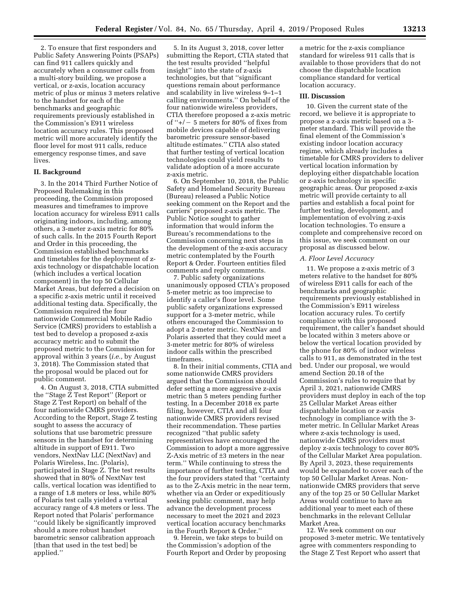2. To ensure that first responders and Public Safety Answering Points (PSAPs) can find 911 callers quickly and accurately when a consumer calls from a multi-story building, we propose a vertical, or z-axis, location accuracy metric of plus or minus 3 meters relative to the handset for each of the benchmarks and geographic requirements previously established in the Commission's E911 wireless location accuracy rules. This proposed metric will more accurately identify the floor level for most 911 calls, reduce emergency response times, and save lives.

### **II. Background**

3. In the 2014 Third Further Notice of Proposed Rulemaking in this proceeding, the Commission proposed measures and timeframes to improve location accuracy for wireless E911 calls originating indoors, including, among others, a 3-meter z-axis metric for 80% of such calls. In the 2015 Fourth Report and Order in this proceeding, the Commission established benchmarks and timetables for the deployment of zaxis technology or dispatchable location (which includes a vertical location component) in the top 50 Cellular Market Areas, but deferred a decision on a specific z-axis metric until it received additional testing data. Specifically, the Commission required the four nationwide Commercial Mobile Radio Service (CMRS) providers to establish a test bed to develop a proposed z-axis accuracy metric and to submit the proposed metric to the Commission for approval within 3 years (*i.e.,* by August 3, 2018). The Commission stated that the proposal would be placed out for public comment.

4. On August 3, 2018, CTIA submitted the ''Stage Z Test Report'' (Report or Stage Z Test Report) on behalf of the four nationwide CMRS providers. According to the Report, Stage Z testing sought to assess the accuracy of solutions that use barometric pressure sensors in the handset for determining altitude in support of E911. Two vendors, NextNav LLC (NextNav) and Polaris Wireless, Inc. (Polaris), participated in Stage Z. The test results showed that in 80% of NextNav test calls, vertical location was identified to a range of 1.8 meters or less, while 80% of Polaris test calls yielded a vertical accuracy range of 4.8 meters or less. The Report noted that Polaris' performance ''could likely be significantly improved should a more robust handset barometric sensor calibration approach [than that used in the test bed] be applied.''

5. In its August 3, 2018, cover letter submitting the Report, CTIA stated that the test results provided ''helpful insight'' into the state of z-axis technologies, but that ''significant questions remain about performance and scalability in live wireless 9–1–1 calling environments.'' On behalf of the four nationwide wireless providers, CTIA therefore proposed a z-axis metric of " $+/- 5$  meters for 80% of fixes from mobile devices capable of delivering barometric pressure sensor-based altitude estimates.'' CTIA also stated that further testing of vertical location technologies could yield results to validate adoption of a more accurate z-axis metric.

6. On September 10, 2018, the Public Safety and Homeland Security Bureau (Bureau) released a Public Notice seeking comment on the Report and the carriers' proposed z-axis metric. The Public Notice sought to gather information that would inform the Bureau's recommendations to the Commission concerning next steps in the development of the z-axis accuracy metric contemplated by the Fourth Report & Order. Fourteen entities filed comments and reply comments.

7. Public safety organizations unanimously opposed CTIA's proposed 5-meter metric as too imprecise to identify a caller's floor level. Some public safety organizations expressed support for a 3-meter metric, while others encouraged the Commission to adopt a 2-meter metric. NextNav and Polaris asserted that they could meet a 3-meter metric for 80% of wireless indoor calls within the prescribed timeframes.

8. In their initial comments, CTIA and some nationwide CMRS providers argued that the Commission should defer setting a more aggressive z-axis metric than 5 meters pending further testing. In a December 2018 ex parte filing, however, CTIA and all four nationwide CMRS providers revised their recommendation. These parties recognized ''that public safety representatives have encouraged the Commission to adopt a more aggressive Z-Axis metric of ±3 meters in the near term.'' While continuing to stress the importance of further testing, CTIA and the four providers stated that ''certainty as to the Z-Axis metric in the near term, whether via an Order or expeditiously seeking public comment, may help advance the development process necessary to meet the 2021 and 2023 vertical location accuracy benchmarks in the Fourth Report & Order.''

9. Herein, we take steps to build on the Commission's adoption of the Fourth Report and Order by proposing a metric for the z-axis compliance standard for wireless 911 calls that is available to those providers that do not choose the dispatchable location compliance standard for vertical location accuracy.

#### **III. Discussion**

10. Given the current state of the record, we believe it is appropriate to propose a z-axis metric based on a 3 meter standard. This will provide the final element of the Commission's existing indoor location accuracy regime, which already includes a timetable for CMRS providers to deliver vertical location information by deploying either dispatchable location or z-axis technology in specific geographic areas. Our proposed z-axis metric will provide certainty to all parties and establish a focal point for further testing, development, and implementation of evolving z-axis location technologies. To ensure a complete and comprehensive record on this issue, we seek comment on our proposal as discussed below.

## *A. Floor Level Accuracy*

11. We propose a z-axis metric of 3 meters relative to the handset for 80% of wireless E911 calls for each of the benchmarks and geographic requirements previously established in the Commission's E911 wireless location accuracy rules. To certify compliance with this proposed requirement, the caller's handset should be located within 3 meters above or below the vertical location provided by the phone for 80% of indoor wireless calls to 911, as demonstrated in the test bed. Under our proposal, we would amend Section 20.18 of the Commission's rules to require that by April 3, 2021, nationwide CMRS providers must deploy in each of the top 25 Cellular Market Areas either dispatchable location or z-axis technology in compliance with the 3 meter metric. In Cellular Market Areas where z-axis technology is used, nationwide CMRS providers must deploy z-axis technology to cover 80% of the Cellular Market Area population. By April 3, 2023, these requirements would be expanded to cover each of the top 50 Cellular Market Areas. Nonnationwide CMRS providers that serve any of the top 25 or 50 Cellular Market Areas would continue to have an additional year to meet each of these benchmarks in the relevant Cellular Market Area.

12. We seek comment on our proposed 3-meter metric. We tentatively agree with commenters responding to the Stage Z Test Report who assert that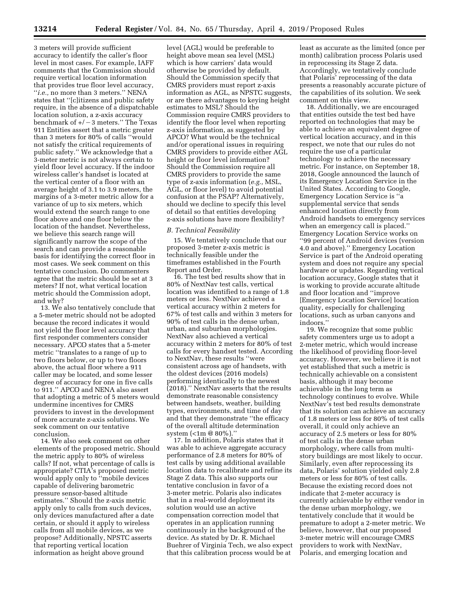3 meters will provide sufficient accuracy to identify the caller's floor level in most cases. For example, IAFF comments that the Commission should require vertical location information that provides true floor level accuracy, ''*i.e.,* no more than 3 meters.'' NENA states that ''[c]itizens and public safety require, in the absence of a dispatchable location solution, a z-axis accuracy benchmark of  $+/-3$  meters." The Texas 911 Entities assert that a metric greater than 3 meters for 80% of calls ''would not satisfy the critical requirements of public safety.'' We acknowledge that a 3-meter metric is not always certain to yield floor level accuracy. If the indoor wireless caller's handset is located at the vertical center of a floor with an average height of 3.1 to 3.9 meters, the margins of a 3-meter metric allow for a variance of up to six meters, which would extend the search range to one floor above and one floor below the location of the handset. Nevertheless, we believe this search range will significantly narrow the scope of the search and can provide a reasonable basis for identifying the correct floor in most cases. We seek comment on this tentative conclusion. Do commenters agree that the metric should be set at 3 meters? If not, what vertical location metric should the Commission adopt, and why?

13. We also tentatively conclude that a 5-meter metric should not be adopted because the record indicates it would not yield the floor level accuracy that first responder commenters consider necessary. APCO states that a 5-meter metric ''translates to a range of up to two floors below, or up to two floors above, the actual floor where a 911 caller may be located, and some lesser degree of accuracy for one in five calls to 911.'' APCO and NENA also assert that adopting a metric of 5 meters would undermine incentives for CMRS providers to invest in the development of more accurate z-axis solutions. We seek comment on our tentative conclusion.

14. We also seek comment on other elements of the proposed metric. Should the metric apply to 80% of wireless calls? If not, what percentage of calls is appropriate? CTIA's proposed metric would apply only to ''mobile devices capable of delivering barometric pressure sensor-based altitude estimates.'' Should the z-axis metric apply only to calls from such devices, only devices manufactured after a date certain, or should it apply to wireless calls from all mobile devices, as we propose? Additionally, NPSTC asserts that reporting vertical location information as height above ground

level (AGL) would be preferable to height above mean sea level (MSL) which is how carriers' data would otherwise be provided by default. Should the Commission specify that CMRS providers must report z-axis information as AGL, as NPSTC suggests, or are there advantages to keying height estimates to MSL? Should the Commission require CMRS providers to identify the floor level when reporting z-axis information, as suggested by APCO? What would be the technical and/or operational issues in requiring CMRS providers to provide either AGL height or floor level information? Should the Commission require all CMRS providers to provide the same type of z-axis information (*e.g.,* MSL, AGL, or floor level) to avoid potential confusion at the PSAP? Alternatively, should we decline to specify this level of detail so that entities developing z-axis solutions have more flexibility?

### *B. Technical Feasibility*

15. We tentatively conclude that our proposed 3-meter z-axis metric is technically feasible under the timeframes established in the Fourth Report and Order.

16. The test bed results show that in 80% of NextNav test calls, vertical location was identified to a range of 1.8 meters or less. NextNav achieved a vertical accuracy within 2 meters for 67% of test calls and within 3 meters for 90% of test calls in the dense urban, urban, and suburban morphologies. NextNav also achieved a vertical accuracy within 2 meters for 80% of test calls for every handset tested. According to NextNav, these results ''were consistent across age of handsets, with the oldest devices (2016 models) performing identically to the newest (2018).'' NextNav asserts that the results demonstrate reasonable consistency between handsets, weather, building types, environments, and time of day and that they demonstrate ''the efficacy of the overall altitude determination system (<1m @ 80%).''

17. In addition, Polaris states that it was able to achieve aggregate accuracy performance of 2.8 meters for 80% of test calls by using additional available location data to recalibrate and refine its Stage Z data. This also supports our tentative conclusion in favor of a 3-meter metric. Polaris also indicates that in a real-world deployment its solution would use an active compensation correction model that operates in an application running continuously in the background of the device. As stated by Dr. R. Michael Buehrer of Virginia Tech, we also expect that this calibration process would be at

least as accurate as the limited (once per month) calibration process Polaris used in reprocessing its Stage Z data. Accordingly, we tentatively conclude that Polaris' reprocessing of the data presents a reasonably accurate picture of the capabilities of its solution. We seek comment on this view.

18. Additionally, we are encouraged that entities outside the test bed have reported on technologies that may be able to achieve an equivalent degree of vertical location accuracy, and in this respect, we note that our rules do not require the use of a particular technology to achieve the necessary metric. For instance, on September 18, 2018, Google announced the launch of its Emergency Location Service in the United States. According to Google, Emergency Location Service is ''a supplemental service that sends enhanced location directly from Android handsets to emergency services when an emergency call is placed.'' Emergency Location Service works on ''99 percent of Android devices (version 4.0 and above).'' Emergency Location Service is part of the Android operating system and does not require any special hardware or updates. Regarding vertical location accuracy, Google states that it is working to provide accurate altitude and floor location and ''improve [Emergency Location Service] location quality, especially for challenging locations, such as urban canyons and indoors.''

19. We recognize that some public safety commenters urge us to adopt a 2-meter metric, which would increase the likelihood of providing floor-level accuracy. However, we believe it is not yet established that such a metric is technically achievable on a consistent basis, although it may become achievable in the long term as technology continues to evolve. While NextNav's test bed results demonstrate that its solution can achieve an accuracy of 1.8 meters or less for 80% of test calls overall, it could only achieve an accuracy of 2.5 meters or less for 80% of test calls in the dense urban morphology, where calls from multistory buildings are most likely to occur. Similarly, even after reprocessing its data, Polaris' solution yielded only 2.8 meters or less for 80% of test calls. Because the existing record does not indicate that 2-meter accuracy is currently achievable by either vendor in the dense urban morphology, we tentatively conclude that it would be premature to adopt a 2-meter metric. We believe, however, that our proposed 3-meter metric will encourage CMRS providers to work with NextNav, Polaris, and emerging location and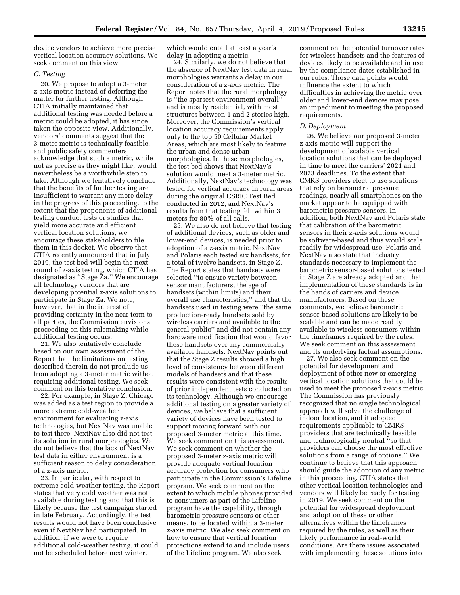device vendors to achieve more precise vertical location accuracy solutions. We seek comment on this view.

## *C. Testing*

20. We propose to adopt a 3-meter z-axis metric instead of deferring the matter for further testing. Although CTIA initially maintained that additional testing was needed before a metric could be adopted, it has since taken the opposite view. Additionally, vendors' comments suggest that the 3-meter metric is technically feasible, and public safety commenters acknowledge that such a metric, while not as precise as they might like, would nevertheless be a worthwhile step to take. Although we tentatively conclude that the benefits of further testing are insufficient to warrant any more delay in the progress of this proceeding, to the extent that the proponents of additional testing conduct tests or studies that yield more accurate and efficient vertical location solutions, we encourage these stakeholders to file them in this docket. We observe that CTIA recently announced that in July 2019, the test bed will begin the next round of z-axis testing, which CTIA has designated as ''Stage Za.'' We encourage all technology vendors that are developing potential z-axis solutions to participate in Stage Za. We note, however, that in the interest of providing certainty in the near term to all parties, the Commission envisions proceeding on this rulemaking while additional testing occurs.

21. We also tentatively conclude based on our own assessment of the Report that the limitations on testing described therein do not preclude us from adopting a 3-meter metric without requiring additional testing. We seek comment on this tentative conclusion.

22. For example, in Stage Z, Chicago was added as a test region to provide a more extreme cold-weather environment for evaluating z-axis technologies, but NextNav was unable to test there. NextNav also did not test its solution in rural morphologies. We do not believe that the lack of NextNav test data in either environment is a sufficient reason to delay consideration of a z-axis metric.

23. In particular, with respect to extreme cold-weather testing, the Report states that very cold weather was not available during testing and that this is likely because the test campaign started in late February. Accordingly, the test results would not have been conclusive even if NextNav had participated. In addition, if we were to require additional cold-weather testing, it could not be scheduled before next winter,

which would entail at least a year's delay in adopting a metric.

24. Similarly, we do not believe that the absence of NextNav test data in rural morphologies warrants a delay in our consideration of a z-axis metric. The Report notes that the rural morphology is ''the sparsest environment overall'' and is mostly residential, with most structures between 1 and 2 stories high. Moreover, the Commission's vertical location accuracy requirements apply only to the top 50 Cellular Market Areas, which are most likely to feature the urban and dense urban morphologies. In these morphologies, the test bed shows that NextNav's solution would meet a 3-meter metric. Additionally, NextNav's technology was tested for vertical accuracy in rural areas during the original CSRIC Test Bed conducted in 2012, and NextNav's results from that testing fell within 3 meters for 80% of all calls.

25. We also do not believe that testing of additional devices, such as older and lower-end devices, is needed prior to adoption of a z-axis metric. NextNav and Polaris each tested six handsets, for a total of twelve handsets, in Stage Z. The Report states that handsets were selected ''to ensure variety between sensor manufacturers, the age of handsets (within limits) and their overall use characteristics,'' and that the handsets used in testing were ''the same production-ready handsets sold by wireless carriers and available to the general public'' and did not contain any hardware modification that would favor these handsets over any commercially available handsets. NextNav points out that the Stage Z results showed a high level of consistency between different models of handsets and that these results were consistent with the results of prior independent tests conducted on its technology. Although we encourage additional testing on a greater variety of devices, we believe that a sufficient variety of devices have been tested to support moving forward with our proposed 3-meter metric at this time. We seek comment on this assessment. We seek comment on whether the proposed 3-meter z-axis metric will provide adequate vertical location accuracy protection for consumers who participate in the Commission's Lifeline program. We seek comment on the extent to which mobile phones provided to consumers as part of the Lifeline program have the capability, through barometric pressure sensors or other means, to be located within a 3-meter z-axis metric. We also seek comment on how to ensure that vertical location protections extend to and include users of the Lifeline program. We also seek

comment on the potential turnover rates for wireless handsets and the features of devices likely to be available and in use by the compliance dates established in our rules. Those data points would influence the extent to which difficulties in achieving the metric over older and lower-end devices may pose an impediment to meeting the proposed requirements.

#### *D. Deployment*

26. We believe our proposed 3-meter z-axis metric will support the development of scalable vertical location solutions that can be deployed in time to meet the carriers' 2021 and 2023 deadlines. To the extent that CMRS providers elect to use solutions that rely on barometric pressure readings, nearly all smartphones on the market appear to be equipped with barometric pressure sensors. In addition, both NextNav and Polaris state that calibration of the barometric sensors in their z-axis solutions would be software-based and thus would scale readily for widespread use. Polaris and NextNav also state that industry standards necessary to implement the barometric sensor-based solutions tested in Stage Z are already adopted and that implementation of these standards is in the hands of carriers and device manufacturers. Based on these comments, we believe barometric sensor-based solutions are likely to be scalable and can be made readily available to wireless consumers within the timeframes required by the rules. We seek comment on this assessment and its underlying factual assumptions.

27. We also seek comment on the potential for development and deployment of other new or emerging vertical location solutions that could be used to meet the proposed z-axis metric. The Commission has previously recognized that no single technological approach will solve the challenge of indoor location, and it adopted requirements applicable to CMRS providers that are technically feasible and technologically neutral ''so that providers can choose the most effective solutions from a range of options.'' We continue to believe that this approach should guide the adoption of any metric in this proceeding. CTIA states that other vertical location technologies and vendors will likely be ready for testing in 2019. We seek comment on the potential for widespread deployment and adoption of these or other alternatives within the timeframes required by the rules, as well as their likely performance in real-world conditions. Are there issues associated with implementing these solutions into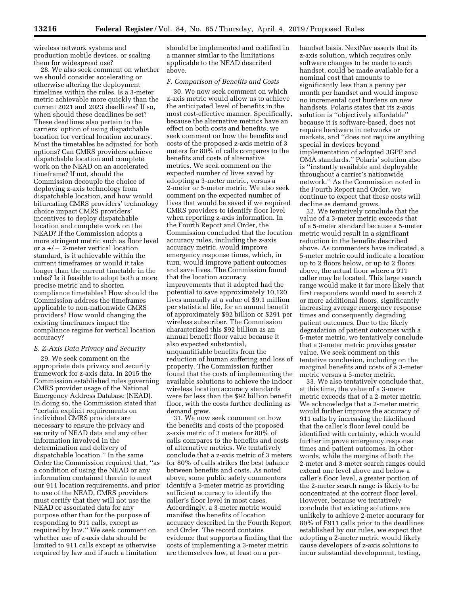wireless network systems and production mobile devices, or scaling them for widespread use?

28. We also seek comment on whether we should consider accelerating or otherwise altering the deployment timelines within the rules. Is a 3-meter metric achievable more quickly than the current 2021 and 2023 deadlines? If so, when should these deadlines be set? These deadlines also pertain to the carriers' option of using dispatchable location for vertical location accuracy. Must the timetables be adjusted for both options? Can CMRS providers achieve dispatchable location and complete work on the NEAD on an accelerated timeframe? If not, should the Commission decouple the choice of deploying z-axis technology from dispatchable location, and how would bifurcating CMRS providers' technology choice impact CMRS providers' incentives to deploy dispatchable location and complete work on the NEAD? If the Commission adopts a more stringent metric such as floor level or a  $+/-$  2-meter vertical location standard, is it achievable within the current timeframes or would it take longer than the current timetable in the rules? Is it feasible to adopt both a more precise metric and to shorten compliance timetables? How should the Commission address the timeframes applicable to non-nationwide CMRS providers? How would changing the existing timeframes impact the compliance regime for vertical location accuracy?

### *E. Z-Axis Data Privacy and Security*

29. We seek comment on the appropriate data privacy and security framework for z-axis data. In 2015 the Commission established rules governing CMRS provider usage of the National Emergency Address Database (NEAD). In doing so, the Commission stated that ''certain explicit requirements on individual CMRS providers are necessary to ensure the privacy and security of NEAD data and any other information involved in the determination and delivery of dispatchable location.'' In the same Order the Commission required that, ''as a condition of using the NEAD or any information contained therein to meet our 911 location requirements, and prior to use of the NEAD, CMRS providers must certify that they will not use the NEAD or associated data for any purpose other than for the purpose of responding to 911 calls, except as required by law.'' We seek comment on whether use of z-axis data should be limited to 911 calls except as otherwise required by law and if such a limitation

should be implemented and codified in a manner similar to the limitations applicable to the NEAD described above.

### *F. Comparison of Benefits and Costs*

30. We now seek comment on which z-axis metric would allow us to achieve the anticipated level of benefits in the most cost-effective manner. Specifically, because the alternative metrics have an effect on both costs and benefits, we seek comment on how the benefits and costs of the proposed z-axis metric of 3 meters for 80% of calls compares to the benefits and costs of alternative metrics. We seek comment on the expected number of lives saved by adopting a 3-meter metric, versus a 2-meter or 5-meter metric. We also seek comment on the expected number of lives that would be saved if we required CMRS providers to identify floor level when reporting z-axis information. In the Fourth Report and Order, the Commission concluded that the location accuracy rules, including the z-axis accuracy metric, would improve emergency response times, which, in turn, would improve patient outcomes and save lives. The Commission found that the location accuracy improvements that it adopted had the potential to save approximately 10,120 lives annually at a value of \$9.1 million per statistical life, for an annual benefit of approximately \$92 billion or \$291 per wireless subscriber. The Commission characterized this \$92 billion as an annual benefit floor value because it also expected substantial, unquantifiable benefits from the reduction of human suffering and loss of property. The Commission further found that the costs of implementing the available solutions to achieve the indoor wireless location accuracy standards were far less than the \$92 billion benefit floor, with the costs further declining as demand grew.

31. We now seek comment on how the benefits and costs of the proposed z-axis metric of 3 meters for 80% of calls compares to the benefits and costs of alternative metrics. We tentatively conclude that a z-axis metric of 3 meters for 80% of calls strikes the best balance between benefits and costs. As noted above, some public safety commenters identify a 3-meter metric as providing sufficient accuracy to identify the caller's floor level in most cases. Accordingly, a 3-meter metric would manifest the benefits of location accuracy described in the Fourth Report and Order. The record contains evidence that supports a finding that the costs of implementing a 3-meter metric are themselves low, at least on a perhandset basis. NextNav asserts that its z-axis solution, which requires only software changes to be made to each handset, could be made available for a nominal cost that amounts to significantly less than a penny per month per handset and would impose no incremental cost burdens on new handsets. Polaris states that its z-axis solution is ''objectively affordable'' because it is software-based, does not require hardware in networks or markets, and ''does not require anything special in devices beyond implementation of adopted 3GPP and OMA standards.'' Polaris' solution also is ''instantly available and deployable throughout a carrier's nationwide network.'' As the Commission noted in the Fourth Report and Order, we continue to expect that these costs will decline as demand grows.

32. We tentatively conclude that the value of a 3-meter metric exceeds that of a 5-meter standard because a 5-meter metric would result in a significant reduction in the benefits described above. As commenters have indicated, a 5-meter metric could indicate a location up to 2 floors below, or up to 2 floors above, the actual floor where a 911 caller may be located. This large search range would make it far more likely that first responders would need to search 2 or more additional floors, significantly increasing average emergency response times and consequently degrading patient outcomes. Due to the likely degradation of patient outcomes with a 5-meter metric, we tentatively conclude that a 3-meter metric provides greater value. We seek comment on this tentative conclusion, including on the marginal benefits and costs of a 3-meter metric versus a 5-meter metric.

33. We also tentatively conclude that, at this time, the value of a 3-meter metric exceeds that of a 2-meter metric. We acknowledge that a 2-meter metric would further improve the accuracy of 911 calls by increasing the likelihood that the caller's floor level could be identified with certainty, which would further improve emergency response times and patient outcomes. In other words, while the margins of both the 2-meter and 3-meter search ranges could extend one level above and below a caller's floor level, a greater portion of the 2-meter search range is likely to be concentrated at the correct floor level. However, because we tentatively conclude that existing solutions are unlikely to achieve 2-meter accuracy for 80% of E911 calls prior to the deadlines established by our rules, we expect that adopting a 2-meter metric would likely cause developers of z-axis solutions to incur substantial development, testing,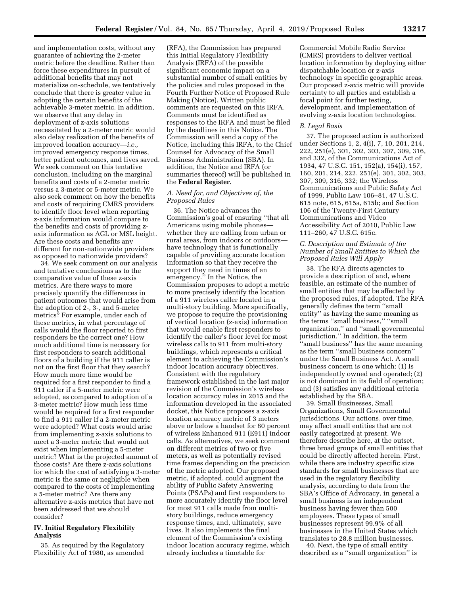and implementation costs, without any guarantee of achieving the 2-meter metric before the deadline. Rather than force these expenditures in pursuit of additional benefits that may not materialize on-schedule, we tentatively conclude that there is greater value in adopting the certain benefits of the achievable 3-meter metric. In addition, we observe that any delay in deployment of z-axis solutions necessitated by a 2-meter metric would also delay realization of the benefits of improved location accuracy—*i.e.,*  improved emergency response times, better patient outcomes, and lives saved. We seek comment on this tentative conclusion, including on the marginal benefits and costs of a 2-meter metric versus a 3-meter or 5-meter metric. We also seek comment on how the benefits and costs of requiring CMRS providers to identify floor level when reporting z-axis information would compare to the benefits and costs of providing zaxis information as AGL or MSL height. Are these costs and benefits any different for non-nationwide providers as opposed to nationwide providers?

34. We seek comment on our analysis and tentative conclusions as to the comparative value of these z-axis metrics. Are there ways to more precisely quantify the differences in patient outcomes that would arise from the adoption of 2-, 3-, and 5-meter metrics? For example, under each of these metrics, in what percentage of calls would the floor reported to first responders be the correct one? How much additional time is necessary for first responders to search additional floors of a building if the 911 caller is not on the first floor that they search? How much more time would be required for a first responder to find a 911 caller if a 5-meter metric were adopted, as compared to adoption of a 3-meter metric? How much less time would be required for a first responder to find a 911 caller if a 2-meter metric were adopted? What costs would arise from implementing z-axis solutions to meet a 3-meter metric that would not exist when implementing a 5-meter metric? What is the projected amount of those costs? Are there z-axis solutions for which the cost of satisfying a 3-meter metric is the same or negligible when compared to the costs of implementing a 5-meter metric? Are there any alternative z-axis metrics that have not been addressed that we should consider?

# **IV. Initial Regulatory Flexibility Analysis**

35. As required by the Regulatory Flexibility Act of 1980, as amended

(RFA), the Commission has prepared this Initial Regulatory Flexibility Analysis (IRFA) of the possible significant economic impact on a substantial number of small entities by the policies and rules proposed in the Fourth Further Notice of Proposed Rule Making (Notice). Written public comments are requested on this IRFA. Comments must be identified as responses to the IRFA and must be filed by the deadlines in this Notice. The Commission will send a copy of the Notice, including this IRFA, to the Chief Counsel for Advocacy of the Small Business Administration (SBA). In addition, the Notice and IRFA (or summaries thereof) will be published in the **Federal Register**.

## *A. Need for, and Objectives of, the Proposed Rules*

36. The Notice advances the Commission's goal of ensuring ''that all Americans using mobile phones whether they are calling from urban or rural areas, from indoors or outdoors have technology that is functionally capable of providing accurate location information so that they receive the support they need in times of an emergency." In the Notice, the Commission proposes to adopt a metric to more precisely identify the location of a 911 wireless caller located in a multi-story building. More specifically, we propose to require the provisioning of vertical location (z-axis) information that would enable first responders to identify the caller's floor level for most wireless calls to 911 from multi-story buildings, which represents a critical element to achieving the Commission's indoor location accuracy objectives. Consistent with the regulatory framework established in the last major revision of the Commission's wireless location accuracy rules in 2015 and the information developed in the associated docket, this Notice proposes a z-axis location accuracy metric of 3 meters above or below a handset for 80 percent of wireless Enhanced 911 (E911) indoor calls. As alternatives, we seek comment on different metrics of two or five meters, as well as potentially revised time frames depending on the precision of the metric adopted. Our proposed metric, if adopted, could augment the ability of Public Safety Answering Points (PSAPs) and first responders to more accurately identify the floor level for most 911 calls made from multistory buildings, reduce emergency response times, and, ultimately, save lives. It also implements the final element of the Commission's existing indoor location accuracy regime, which already includes a timetable for

Commercial Mobile Radio Service (CMRS) providers to deliver vertical location information by deploying either dispatchable location or z-axis technology in specific geographic areas. Our proposed z-axis metric will provide certainty to all parties and establish a focal point for further testing, development, and implementation of evolving z-axis location technologies.

### *B. Legal Basis*

37. The proposed action is authorized under Sections 1, 2, 4(i), 7, 10, 201, 214, 222, 251(e), 301, 302, 303, 307, 309, 316, and 332, of the Communications Act of 1934, 47 U.S.C. 151, 152(a), 154(i), 157, 160, 201, 214, 222, 251(e), 301, 302, 303, 307, 309, 316, 332; the Wireless Communications and Public Safety Act of 1999, Public Law 106–81, 47 U.S.C. 615 note, 615, 615a, 615b; and Section 106 of the Twenty-First Century Communications and Video Accessibility Act of 2010, Public Law 111–260, 47 U.S.C. 615c.

## *C. Description and Estimate of the Number of Small Entities to Which the Proposed Rules Will Apply*

38. The RFA directs agencies to provide a description of and, where feasible, an estimate of the number of small entities that may be affected by the proposed rules, if adopted. The RFA generally defines the term ''small entity'' as having the same meaning as the terms ''small business,'' ''small organization,'' and ''small governmental jurisdiction.'' In addition, the term ''small business'' has the same meaning as the term ''small business concern'' under the Small Business Act. A small business concern is one which: (1) Is independently owned and operated; (2) is not dominant in its field of operation; and (3) satisfies any additional criteria established by the SBA.

39. Small Businesses, Small Organizations, Small Governmental Jurisdictions. Our actions, over time, may affect small entities that are not easily categorized at present. We therefore describe here, at the outset, three broad groups of small entities that could be directly affected herein. First, while there are industry specific size standards for small businesses that are used in the regulatory flexibility analysis, according to data from the SBA's Office of Advocacy, in general a small business is an independent business having fewer than 500 employees. These types of small businesses represent 99.9% of all businesses in the United States which translates to 28.8 million businesses.

40. Next, the type of small entity described as a ''small organization'' is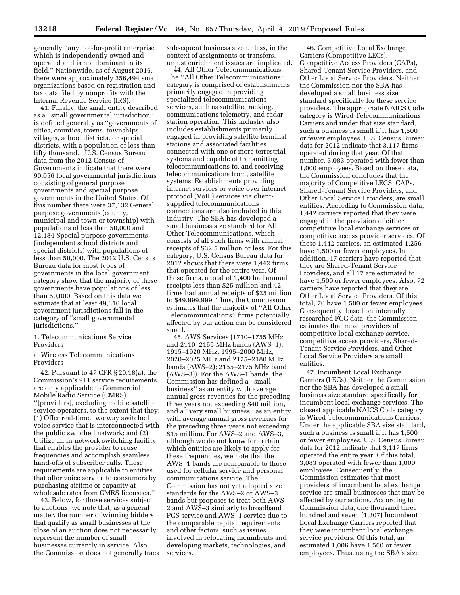generally ''any not-for-profit enterprise which is independently owned and operated and is not dominant in its field.'' Nationwide, as of August 2016, there were approximately 356,494 small organizations based on registration and tax data filed by nonprofits with the Internal Revenue Service (IRS).

41. Finally, the small entity described as a ''small governmental jurisdiction'' is defined generally as ''governments of cities, counties, towns, townships, villages, school districts, or special districts, with a population of less than fifty thousand.'' U.S. Census Bureau data from the 2012 Census of Governments indicate that there were 90,056 local governmental jurisdictions consisting of general purpose governments and special purpose governments in the United States. Of this number there were 37,132 General purpose governments (county, municipal and town or township) with populations of less than 50,000 and 12,184 Special purpose governments (independent school districts and special districts) with populations of less than 50,000. The 2012 U.S. Census Bureau data for most types of governments in the local government category show that the majority of these governments have populations of less than 50,000. Based on this data we estimate that at least 49,316 local government jurisdictions fall in the category of ''small governmental jurisdictions.''

1. Telecommunications Service Providers

a. Wireless Telecommunications Providers

42. Pursuant to 47 CFR § 20.18(a), the Commission's 911 service requirements are only applicable to Commercial Mobile Radio Service (CMRS) ''[providers], excluding mobile satellite service operators, to the extent that they: (1) Offer real-time, two way switched voice service that is interconnected with the public switched network; and (2) Utilize an in-network switching facility that enables the provider to reuse frequencies and accomplish seamless hand-offs of subscriber calls. These requirements are applicable to entities that offer voice service to consumers by purchasing airtime or capacity at wholesale rates from CMRS licensees.''

43. Below, for those services subject to auctions, we note that, as a general matter, the number of winning bidders that qualify as small businesses at the close of an auction does not necessarily represent the number of small businesses currently in service. Also, the Commission does not generally track subsequent business size unless, in the context of assignments or transfers, unjust enrichment issues are implicated.

44. All Other Telecommunications. The ''All Other Telecommunications'' category is comprised of establishments primarily engaged in providing specialized telecommunications services, such as satellite tracking, communications telemetry, and radar station operation. This industry also includes establishments primarily engaged in providing satellite terminal stations and associated facilities connected with one or more terrestrial systems and capable of transmitting telecommunications to, and receiving telecommunications from, satellite systems. Establishments providing internet services or voice over internet protocol (VoIP) services via clientsupplied telecommunications connections are also included in this industry. The SBA has developed a small business size standard for All Other Telecommunications, which consists of all such firms with annual receipts of \$32.5 million or less. For this category, U.S. Census Bureau data for 2012 shows that there were 1,442 firms that operated for the entire year. Of those firms, a total of 1,400 had annual receipts less than \$25 million and 42 firms had annual receipts of \$25 million to \$49,999,999. Thus, the Commission estimates that the majority of ''All Other Telecommunications'' firms potentially affected by our action can be considered small.

45. AWS Services (1710–1755 MHz and 2110–2155 MHz bands (AWS–1); 1915–1920 MHz, 1995–2000 MHz, 2020–2025 MHz and 2175–2180 MHz bands (AWS–2); 2155–2175 MHz band (AWS–3)). For the AWS–1 bands, the Commission has defined a ''small business'' as an entity with average annual gross revenues for the preceding three years not exceeding \$40 million, and a ''very small business'' as an entity with average annual gross revenues for the preceding three years not exceeding \$15 million. For AWS–2 and AWS–3, although we do not know for certain which entities are likely to apply for these frequencies, we note that the AWS–1 bands are comparable to those used for cellular service and personal communications service. The Commission has not yet adopted size standards for the AWS–2 or AWS–3 bands but proposes to treat both AWS– 2 and AWS–3 similarly to broadband PCS service and AWS–1 service due to the comparable capital requirements and other factors, such as issues involved in relocating incumbents and developing markets, technologies, and services.

46. Competitive Local Exchange Carriers (Competitive LECs). Competitive Access Providers (CAPs), Shared-Tenant Service Providers, and Other Local Service Providers. Neither the Commission nor the SBA has developed a small business size standard specifically for these service providers. The appropriate NAICS Code category is Wired Telecommunications Carriers and under that size standard, such a business is small if it has 1,500 or fewer employees. U.S. Census Bureau data for 2012 indicate that 3,117 firms operated during that year. Of that number, 3,083 operated with fewer than 1,000 employees. Based on these data, the Commission concludes that the majority of Competitive LECS, CAPs, Shared-Tenant Service Providers, and Other Local Service Providers, are small entities. According to Commission data, 1,442 carriers reported that they were engaged in the provision of either competitive local exchange services or competitive access provider services. Of these 1,442 carriers, an estimated 1,256 have 1,500 or fewer employees. In addition, 17 carriers have reported that they are Shared-Tenant Service Providers, and all 17 are estimated to have 1,500 or fewer employees. Also, 72 carriers have reported that they are Other Local Service Providers. Of this total, 70 have 1,500 or fewer employees. Consequently, based on internally researched FCC data, the Commission estimates that most providers of competitive local exchange service, competitive access providers, Shared-Tenant Service Providers, and Other Local Service Providers are small entities.

47. Incumbent Local Exchange Carriers (LECs). Neither the Commission nor the SBA has developed a small business size standard specifically for incumbent local exchange services. The closest applicable NAICS Code category is Wired Telecommunications Carriers. Under the applicable SBA size standard, such a business is small if it has 1,500 or fewer employees. U.S. Census Bureau data for 2012 indicate that 3,117 firms operated the entire year. Of this total, 3,083 operated with fewer than 1,000 employees. Consequently, the Commission estimates that most providers of incumbent local exchange service are small businesses that may be affected by our actions. According to Commission data, one thousand three hundred and seven (1,307) Incumbent Local Exchange Carriers reported that they were incumbent local exchange service providers. Of this total, an estimated 1,006 have 1,500 or fewer employees. Thus, using the SBA's size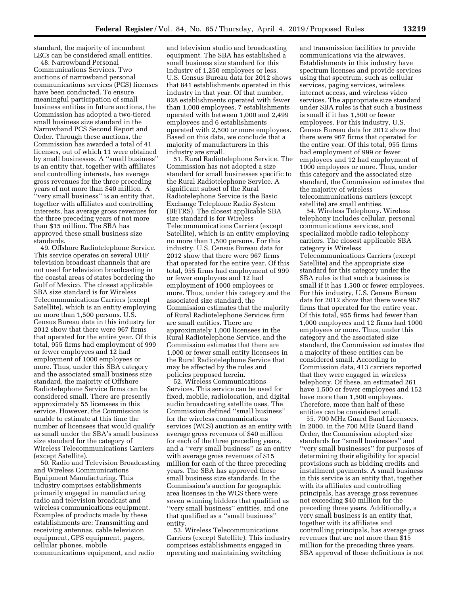standard, the majority of incumbent LECs can be considered small entities.

48. Narrowband Personal Communications Services. Two auctions of narrowband personal communications services (PCS) licenses have been conducted. To ensure meaningful participation of small business entities in future auctions, the Commission has adopted a two-tiered small business size standard in the Narrowband PCS Second Report and Order. Through these auctions, the Commission has awarded a total of 41 licenses, out of which 11 were obtained by small businesses. A ''small business'' is an entity that, together with affiliates and controlling interests, has average gross revenues for the three preceding years of not more than \$40 million. A ''very small business'' is an entity that, together with affiliates and controlling interests, has average gross revenues for the three preceding years of not more than \$15 million. The SBA has approved these small business size standards.

49. Offshore Radiotelephone Service. This service operates on several UHF television broadcast channels that are not used for television broadcasting in the coastal areas of states bordering the Gulf of Mexico. The closest applicable SBA size standard is for Wireless Telecommunications Carriers (except Satellite), which is an entity employing no more than 1,500 persons. U.S. Census Bureau data in this industry for 2012 show that there were 967 firms that operated for the entire year. Of this total, 955 firms had employment of 999 or fewer employees and 12 had employment of 1000 employees or more. Thus, under this SBA category and the associated small business size standard, the majority of Offshore Radiotelephone Service firms can be considered small. There are presently approximately 55 licensees in this service. However, the Commission is unable to estimate at this time the number of licensees that would qualify as small under the SBA's small business size standard for the category of Wireless Telecommunications Carriers (except Satellite).

50. Radio and Television Broadcasting and Wireless Communications Equipment Manufacturing. This industry comprises establishments primarily engaged in manufacturing radio and television broadcast and wireless communications equipment. Examples of products made by these establishments are: Transmitting and receiving antennas, cable television equipment, GPS equipment, pagers, cellular phones, mobile communications equipment, and radio

and television studio and broadcasting equipment. The SBA has established a small business size standard for this industry of 1,250 employees or less. U.S. Census Bureau data for 2012 shows that 841 establishments operated in this industry in that year. Of that number, 828 establishments operated with fewer than 1,000 employees, 7 establishments operated with between 1,000 and 2,499 employees and 6 establishments operated with 2,500 or more employees. Based on this data, we conclude that a majority of manufacturers in this industry are small.

51. Rural Radiotelephone Service. The Commission has not adopted a size standard for small businesses specific to the Rural Radiotelephone Service. A significant subset of the Rural Radiotelephone Service is the Basic Exchange Telephone Radio System (BETRS). The closest applicable SBA size standard is for Wireless Telecommunications Carriers (except Satellite), which is an entity employing no more than 1,500 persons. For this industry, U.S. Census Bureau data for 2012 show that there were 967 firms that operated for the entire year. Of this total, 955 firms had employment of 999 or fewer employees and 12 had employment of 1000 employees or more. Thus, under this category and the associated size standard, the Commission estimates that the majority of Rural Radiotelephone Services firm are small entities. There are approximately 1,000 licensees in the Rural Radiotelephone Service, and the Commission estimates that there are 1,000 or fewer small entity licensees in the Rural Radiotelephone Service that may be affected by the rules and policies proposed herein.

52. Wireless Communications Services. This service can be used for fixed, mobile, radiolocation, and digital audio broadcasting satellite uses. The Commission defined ''small business'' for the wireless communications services (WCS) auction as an entity with average gross revenues of \$40 million for each of the three preceding years, and a ''very small business'' as an entity with average gross revenues of \$15 million for each of the three preceding years. The SBA has approved these small business size standards. In the Commission's auction for geographic area licenses in the WCS there were seven winning bidders that qualified as ''very small business'' entities, and one that qualified as a ''small business'' entity.

53. Wireless Telecommunications Carriers (except Satellite). This industry comprises establishments engaged in operating and maintaining switching

and transmission facilities to provide communications via the airwaves. Establishments in this industry have spectrum licenses and provide services using that spectrum, such as cellular services, paging services, wireless internet access, and wireless video services. The appropriate size standard under SBA rules is that such a business is small if it has 1,500 or fewer employees. For this industry, U.S. Census Bureau data for 2012 show that there were 967 firms that operated for the entire year. Of this total, 955 firms had employment of 999 or fewer employees and 12 had employment of 1000 employees or more. Thus, under this category and the associated size standard, the Commission estimates that the majority of wireless telecommunications carriers (except satellite) are small entities.

54. Wireless Telephony. Wireless telephony includes cellular, personal communications services, and specialized mobile radio telephony carriers. The closest applicable SBA category is Wireless Telecommunications Carriers (except Satellite) and the appropriate size standard for this category under the SBA rules is that such a business is small if it has 1,500 or fewer employees. For this industry, U.S. Census Bureau data for 2012 show that there were 967 firms that operated for the entire year. Of this total, 955 firms had fewer than 1,000 employees and 12 firms had 1000 employees or more. Thus, under this category and the associated size standard, the Commission estimates that a majority of these entities can be considered small. According to Commission data, 413 carriers reported that they were engaged in wireless telephony. Of these, an estimated 261 have 1,500 or fewer employees and 152 have more than 1,500 employees. Therefore, more than half of these entities can be considered small.

55. 700 MHz Guard Band Licensees. In 2000, in the 700 MHz Guard Band Order, the Commission adopted size standards for ''small businesses'' and ''very small businesses'' for purposes of determining their eligibility for special provisions such as bidding credits and installment payments. A small business in this service is an entity that, together with its affiliates and controlling principals, has average gross revenues not exceeding \$40 million for the preceding three years. Additionally, a very small business is an entity that, together with its affiliates and controlling principals, has average gross revenues that are not more than \$15 million for the preceding three years. SBA approval of these definitions is not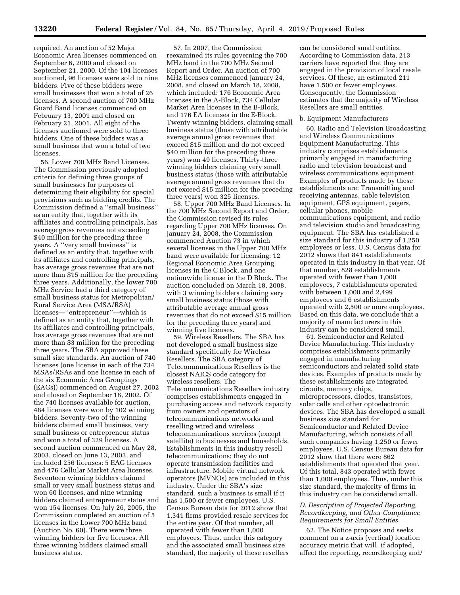required. An auction of 52 Major Economic Area licenses commenced on September 6, 2000 and closed on September 21, 2000. Of the 104 licenses auctioned, 96 licenses were sold to nine bidders. Five of these bidders were small businesses that won a total of 26 licenses. A second auction of 700 MHz Guard Band licenses commenced on February 13, 2001 and closed on February 21, 2001. All eight of the licenses auctioned were sold to three bidders. One of these bidders was a small business that won a total of two licenses.

56. Lower 700 MHz Band Licenses. The Commission previously adopted criteria for defining three groups of small businesses for purposes of determining their eligibility for special provisions such as bidding credits. The Commission defined a ''small business'' as an entity that, together with its affiliates and controlling principals, has average gross revenues not exceeding \$40 million for the preceding three years. A ''very small business'' is defined as an entity that, together with its affiliates and controlling principals, has average gross revenues that are not more than \$15 million for the preceding three years. Additionally, the lower 700 MHz Service had a third category of small business status for Metropolitan/ Rural Service Area (MSA/RSA) licenses—''entrepreneur''—which is defined as an entity that, together with its affiliates and controlling principals, has average gross revenues that are not more than \$3 million for the preceding three years. The SBA approved these small size standards. An auction of 740 licenses (one license in each of the 734 MSAs/RSAs and one license in each of the six Economic Area Groupings (EAGs)) commenced on August 27, 2002 and closed on September 18, 2002. Of the 740 licenses available for auction, 484 licenses were won by 102 winning bidders. Seventy-two of the winning bidders claimed small business, very small business or entrepreneur status and won a total of 329 licenses. A second auction commenced on May 28, 2003, closed on June 13, 2003, and included 256 licenses: 5 EAG licenses and 476 Cellular Market Area licenses. Seventeen winning bidders claimed small or very small business status and won 60 licenses, and nine winning bidders claimed entrepreneur status and won 154 licenses. On July 26, 2005, the Commission completed an auction of 5 licenses in the Lower 700 MHz band (Auction No. 60). There were three winning bidders for five licenses. All three winning bidders claimed small business status.

57. In 2007, the Commission reexamined its rules governing the 700 MHz band in the 700 MHz Second Report and Order. An auction of 700 MHz licenses commenced January 24, 2008, and closed on March 18, 2008, which included: 176 Economic Area licenses in the A-Block, 734 Cellular Market Area licenses in the B-Block, and 176 EA licenses in the E-Block. Twenty winning bidders, claiming small business status (those with attributable average annual gross revenues that exceed \$15 million and do not exceed \$40 million for the preceding three years) won 49 licenses. Thirty-three winning bidders claiming very small business status (those with attributable average annual gross revenues that do not exceed \$15 million for the preceding three years) won 325 licenses.

58. Upper 700 MHz Band Licenses. In the 700 MHz Second Report and Order, the Commission revised its rules regarding Upper 700 MHz licenses. On January 24, 2008, the Commission commenced Auction 73 in which several licenses in the Upper 700 MHz band were available for licensing: 12 Regional Economic Area Grouping licenses in the C Block, and one nationwide license in the D Block. The auction concluded on March 18, 2008, with 3 winning bidders claiming very small business status (those with attributable average annual gross revenues that do not exceed \$15 million for the preceding three years) and winning five licenses.

59. Wireless Resellers. The SBA has not developed a small business size standard specifically for Wireless Resellers. The SBA category of Telecommunications Resellers is the closest NAICS code category for wireless resellers. The Telecommunications Resellers industry comprises establishments engaged in purchasing access and network capacity from owners and operators of telecommunications networks and reselling wired and wireless telecommunications services (except satellite) to businesses and households. Establishments in this industry resell telecommunications; they do not operate transmission facilities and infrastructure. Mobile virtual network operators (MVNOs) are included in this industry. Under the SBA's size standard, such a business is small if it has 1,500 or fewer employees. U.S. Census Bureau data for 2012 show that 1,341 firms provided resale services for the entire year. Of that number, all operated with fewer than 1,000 employees. Thus, under this category and the associated small business size standard, the majority of these resellers

can be considered small entities. According to Commission data, 213 carriers have reported that they are engaged in the provision of local resale services. Of these, an estimated 211 have 1,500 or fewer employees. Consequently, the Commission estimates that the majority of Wireless Resellers are small entities.

### b. Equipment Manufacturers

60. Radio and Television Broadcasting and Wireless Communications Equipment Manufacturing. This industry comprises establishments primarily engaged in manufacturing radio and television broadcast and wireless communications equipment. Examples of products made by these establishments are: Transmitting and receiving antennas, cable television equipment, GPS equipment, pagers, cellular phones, mobile communications equipment, and radio and television studio and broadcasting equipment. The SBA has established a size standard for this industry of 1,250 employees or less. U.S. Census data for 2012 shows that 841 establishments operated in this industry in that year. Of that number, 828 establishments operated with fewer than 1,000 employees, 7 establishments operated with between 1,000 and 2,499 employees and 6 establishments operated with 2,500 or more employees. Based on this data, we conclude that a majority of manufacturers in this industry can be considered small.

61. Semiconductor and Related Device Manufacturing. This industry comprises establishments primarily engaged in manufacturing semiconductors and related solid state devices. Examples of products made by these establishments are integrated circuits, memory chips, microprocessors, diodes, transistors, solar cells and other optoelectronic devices. The SBA has developed a small business size standard for Semiconductor and Related Device Manufacturing, which consists of all such companies having 1,250 or fewer employees. U.S. Census Bureau data for 2012 show that there were 862 establishments that operated that year. Of this total, 843 operated with fewer than 1,000 employees. Thus, under this size standard, the majority of firms in this industry can be considered small.

## *D. Description of Projected Reporting, Recordkeeping, and Other Compliance Requirements for Small Entities*

62. The Notice proposes and seeks comment on a z-axis (vertical) location accuracy metric that will, if adopted, affect the reporting, recordkeeping and/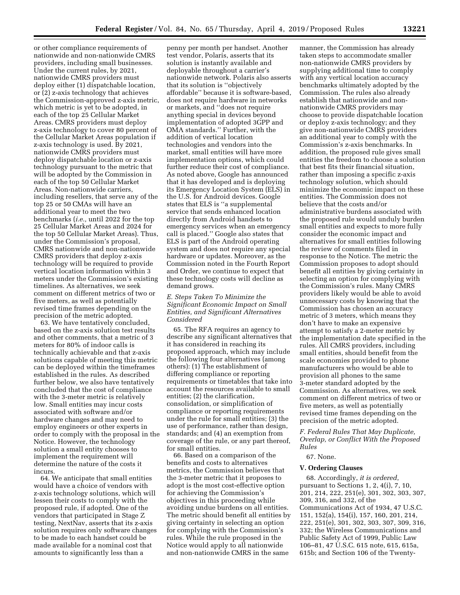or other compliance requirements of nationwide and non-nationwide CMRS providers, including small businesses. Under the current rules, by 2021, nationwide CMRS providers must deploy either (1) dispatchable location, or (2) z-axis technology that achieves the Commission-approved z-axis metric, which metric is yet to be adopted, in each of the top 25 Cellular Market Areas. CMRS providers must deploy z-axis technology to cover 80 percent of the Cellular Market Areas population if z-axis technology is used. By 2021, nationwide CMRS providers must deploy dispatchable location or z-axis technology pursuant to the metric that will be adopted by the Commission in each of the top 50 Cellular Market Areas. Non-nationwide carriers, including resellers, that serve any of the top 25 or 50 CMAs will have an additional year to meet the two benchmarks (*i.e.,* until 2022 for the top 25 Cellular Market Areas and 2024 for the top 50 Cellular Market Areas). Thus, under the Commission's proposal, CMRS nationwide and non-nationwide CMRS providers that deploy z-axis technology will be required to provide vertical location information within 3 meters under the Commission's existing timelines. As alternatives, we seek comment on different metrics of two or five meters, as well as potentially revised time frames depending on the precision of the metric adopted.

63. We have tentatively concluded, based on the z-axis solution test results and other comments, that a metric of 3 meters for 80% of indoor calls is technically achievable and that z-axis solutions capable of meeting this metric can be deployed within the timeframes established in the rules. As described further below, we also have tentatively concluded that the cost of compliance with the 3-meter metric is relatively low. Small entities may incur costs associated with software and/or hardware changes and may need to employ engineers or other experts in order to comply with the proposal in the Notice. However, the technology solution a small entity chooses to implement the requirement will determine the nature of the costs it incurs.

64. We anticipate that small entities would have a choice of vendors with z-axis technology solutions, which will lessen their costs to comply with the proposed rule, if adopted. One of the vendors that participated in Stage Z testing, NextNav, asserts that its z-axis solution requires only software changes to be made to each handset could be made available for a nominal cost that amounts to significantly less than a

penny per month per handset. Another test vendor, Polaris, asserts that its solution is instantly available and deployable throughout a carrier's nationwide network. Polaris also asserts that its solution is ''objectively affordable'' because it is software-based, does not require hardware in networks or markets, and ''does not require anything special in devices beyond implementation of adopted 3GPP and OMA standards.'' Further, with the addition of vertical location technologies and vendors into the market, small entities will have more implementation options, which could further reduce their cost of compliance. As noted above, Google has announced that it has developed and is deploying its Emergency Location System (ELS) in the U.S. for Android devices. Google states that ELS is ''a supplemental service that sends enhanced location directly from Android handsets to emergency services when an emergency call is placed.'' Google also states that ELS is part of the Android operating system and does not require any special hardware or updates. Moreover, as the Commission noted in the Fourth Report and Order, we continue to expect that these technology costs will decline as demand grows.

## *E. Steps Taken To Minimize the Significant Economic Impact on Small Entities, and Significant Alternatives Considered*

65. The RFA requires an agency to describe any significant alternatives that it has considered in reaching its proposed approach, which may include the following four alternatives (among others): (1) The establishment of differing compliance or reporting requirements or timetables that take into account the resources available to small entities; (2) the clarification, consolidation, or simplification of compliance or reporting requirements under the rule for small entities; (3) the use of performance, rather than design, standards; and (4) an exemption from coverage of the rule, or any part thereof, for small entities.

66. Based on a comparison of the benefits and costs to alternatives metrics, the Commission believes that the 3-meter metric that it proposes to adopt is the most cost-effective option for achieving the Commission's objectives in this proceeding while avoiding undue burdens on all entities. The metric should benefit all entities by giving certainty in selecting an option for complying with the Commission's rules. While the rule proposed in the Notice would apply to all nationwide and non-nationwide CMRS in the same

manner, the Commission has already taken steps to accommodate smaller non-nationwide CMRS providers by supplying additional time to comply with any vertical location accuracy benchmarks ultimately adopted by the Commission. The rules also already establish that nationwide and nonnationwide CMRS providers may choose to provide dispatchable location or deploy z-axis technology; and they give non-nationwide CMRS providers an additional year to comply with the Commission's z-axis benchmarks. In addition, the proposed rule gives small entities the freedom to choose a solution that best fits their financial situation, rather than imposing a specific z-axis technology solution, which should minimize the economic impact on these entities. The Commission does not believe that the costs and/or administrative burdens associated with the proposed rule would unduly burden small entities and expects to more fully consider the economic impact and alternatives for small entities following the review of comments filed in response to the Notice. The metric the Commission proposes to adopt should benefit all entities by giving certainty in selecting an option for complying with the Commission's rules. Many CMRS providers likely would be able to avoid unnecessary costs by knowing that the Commission has chosen an accuracy metric of 3 meters, which means they don't have to make an expensive attempt to satisfy a 2-meter metric by the implementation date specified in the rules. All CMRS providers, including small entities, should benefit from the scale economies provided to phone manufacturers who would be able to provision all phones to the same 3-meter standard adopted by the Commission. As alternatives, we seek comment on different metrics of two or five meters, as well as potentially revised time frames depending on the precision of the metric adopted.

*F. Federal Rules That May Duplicate, Overlap, or Conflict With the Proposed Rules* 

#### 67. None.

### **V. Ordering Clauses**

68. Accordingly, *it is ordered*, pursuant to Sections 1, 2, 4(i), 7, 10, 201, 214, 222, 251(e), 301, 302, 303, 307, 309, 316, and 332, of the Communications Act of 1934, 47 U.S.C. 151, 152(a), 154(i), 157, 160, 201, 214, 222, 251(e), 301, 302, 303, 307, 309, 316, 332; the Wireless Communications and Public Safety Act of 1999, Public Law 106–81, 47 U.S.C. 615 note, 615, 615a, 615b; and Section 106 of the Twenty